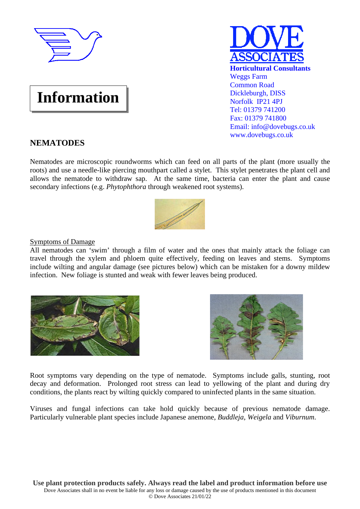

# **Information**



# **NEMATODES**

Nematodes are microscopic roundworms which can feed on all parts of the plant (more usually the roots) and use a needle-like piercing mouthpart called a stylet. This stylet penetrates the plant cell and allows the nematode to withdraw sap. At the same time, bacteria can enter the plant and cause secondary infections (e.g. *Phytophthora* through weakened root systems).



# Symptoms of Damage

All nematodes can 'swim' through a film of water and the ones that mainly attack the foliage can travel through the xylem and phloem quite effectively, feeding on leaves and stems. Symptoms include wilting and angular damage (see pictures below) which can be mistaken for a downy mildew infection. New foliage is stunted and weak with fewer leaves being produced.





Root symptoms vary depending on the type of nematode. Symptoms include galls, stunting, root decay and deformation. Prolonged root stress can lead to yellowing of the plant and during dry conditions, the plants react by wilting quickly compared to uninfected plants in the same situation.

Viruses and fungal infections can take hold quickly because of previous nematode damage. Particularly vulnerable plant species include Japanese anemone, *Buddleja*, *Weigela* and *Viburnum*.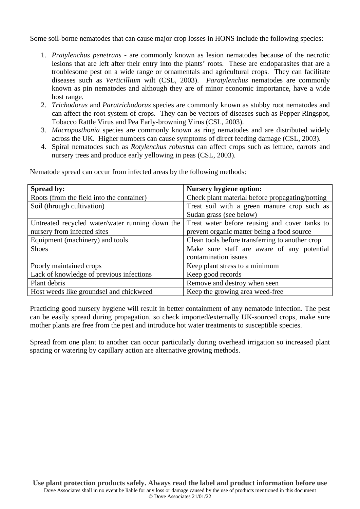Some soil-borne nematodes that can cause major crop losses in HONS include the following species:

- 1. *Pratylenchus penetrans* are commonly known as lesion nematodes because of the necrotic lesions that are left after their entry into the plants' roots. These are endoparasites that are a troublesome pest on a wide range or ornamentals and agricultural crops. They can facilitate diseases such as *Verticillium* wilt (CSL, 2003). *Paratylenchus* nematodes are commonly known as pin nematodes and although they are of minor economic importance, have a wide host range.
- 2. *Trichodorus* and *Paratrichodorus* species are commonly known as stubby root nematodes and can affect the root system of crops. They can be vectors of diseases such as Pepper Ringspot, Tobacco Rattle Virus and Pea Early-browning Virus (CSL, 2003).
- 3. *Macroposthonia* species are commonly known as ring nematodes and are distributed widely across the UK. Higher numbers can cause symptoms of direct feeding damage (CSL, 2003).
- 4. Spiral nematodes such as *Rotylenchus robustus* can affect crops such as lettuce, carrots and nursery trees and produce early yellowing in peas (CSL, 2003).

| <b>Spread by:</b>                               | <b>Nursery hygiene option:</b>                  |
|-------------------------------------------------|-------------------------------------------------|
| Roots (from the field into the container)       | Check plant material before propagating/potting |
| Soil (through cultivation)                      | Treat soil with a green manure crop such as     |
|                                                 | Sudan grass (see below)                         |
| Untreated recycled water/water running down the | Treat water before reusing and cover tanks to   |
| nursery from infected sites                     | prevent organic matter being a food source      |
| Equipment (machinery) and tools                 | Clean tools before transferring to another crop |
| <b>Shoes</b>                                    | Make sure staff are aware of any potential      |
|                                                 | contamination issues                            |
| Poorly maintained crops                         | Keep plant stress to a minimum                  |
| Lack of knowledge of previous infections        | Keep good records                               |
| Plant debris                                    | Remove and destroy when seen                    |
| Host weeds like groundsel and chickweed         | Keep the growing area weed-free                 |

Nematode spread can occur from infected areas by the following methods:

Practicing good nursery hygiene will result in better containment of any nematode infection. The pest can be easily spread during propagation, so check imported/externally UK-sourced crops, make sure mother plants are free from the pest and introduce hot water treatments to susceptible species.

Spread from one plant to another can occur particularly during overhead irrigation so increased plant spacing or watering by capillary action are alternative growing methods.